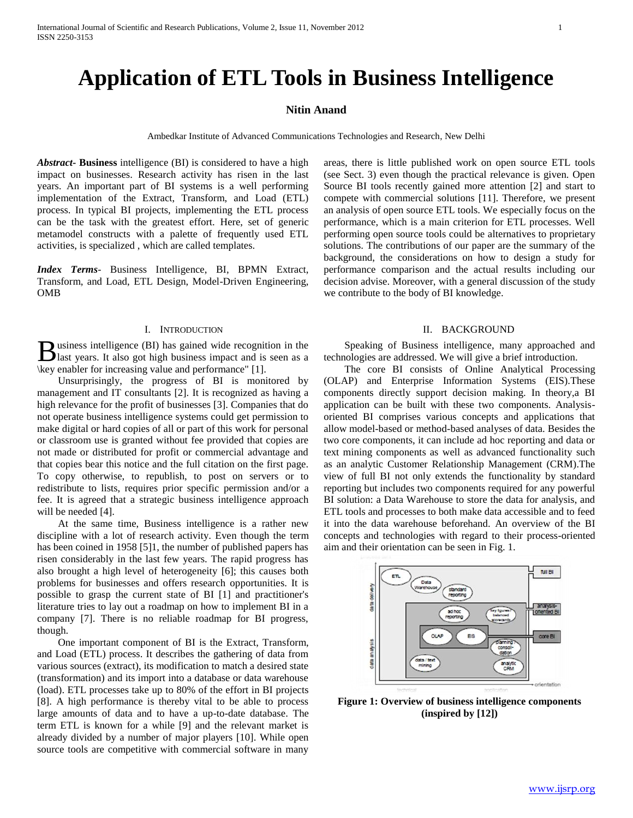# **Application of ETL Tools in Business Intelligence**

# **Nitin Anand**

Ambedkar Institute of Advanced Communications Technologies and Research, New Delhi

*Abstract***- Business** intelligence (BI) is considered to have a high impact on businesses. Research activity has risen in the last years. An important part of BI systems is a well performing implementation of the Extract, Transform, and Load (ETL) process. In typical BI projects, implementing the ETL process can be the task with the greatest effort. Here, set of generic metamodel constructs with a palette of frequently used ETL activities, is specialized , which are called templates.

*Index Terms*- Business Intelligence, BI, BPMN Extract, Transform, and Load, ETL Design, Model-Driven Engineering, OMB

# I. INTRODUCTION

usiness intelligence (BI) has gained wide recognition in the **B** usiness intelligence (BI) has gained wide recognition in the last years. It also got high business impact and is seen as a \key enabler for increasing value and performance" [1].

 Unsurprisingly, the progress of BI is monitored by management and IT consultants [2]. It is recognized as having a high relevance for the profit of businesses [3]. Companies that do not operate business intelligence systems could get permission to make digital or hard copies of all or part of this work for personal or classroom use is granted without fee provided that copies are not made or distributed for profit or commercial advantage and that copies bear this notice and the full citation on the first page. To copy otherwise, to republish, to post on servers or to redistribute to lists, requires prior specific permission and/or a fee. It is agreed that a strategic business intelligence approach will be needed [4].

 At the same time, Business intelligence is a rather new discipline with a lot of research activity. Even though the term has been coined in 1958 [5]1, the number of published papers has risen considerably in the last few years. The rapid progress has also brought a high level of heterogeneity [6]; this causes both problems for businesses and offers research opportunities. It is possible to grasp the current state of BI [1] and practitioner's literature tries to lay out a roadmap on how to implement BI in a company [7]. There is no reliable roadmap for BI progress, though.

 One important component of BI is the Extract, Transform, and Load (ETL) process. It describes the gathering of data from various sources (extract), its modification to match a desired state (transformation) and its import into a database or data warehouse (load). ETL processes take up to 80% of the effort in BI projects [8]. A high performance is thereby vital to be able to process large amounts of data and to have a up-to-date database. The term ETL is known for a while [9] and the relevant market is already divided by a number of major players [10]. While open source tools are competitive with commercial software in many

areas, there is little published work on open source ETL tools (see Sect. 3) even though the practical relevance is given. Open Source BI tools recently gained more attention [2] and start to compete with commercial solutions [11]. Therefore, we present an analysis of open source ETL tools. We especially focus on the performance, which is a main criterion for ETL processes. Well performing open source tools could be alternatives to proprietary solutions. The contributions of our paper are the summary of the background, the considerations on how to design a study for performance comparison and the actual results including our decision advise. Moreover, with a general discussion of the study we contribute to the body of BI knowledge.

# II. BACKGROUND

 Speaking of Business intelligence, many approached and technologies are addressed. We will give a brief introduction.

 The core BI consists of Online Analytical Processing (OLAP) and Enterprise Information Systems (EIS).These components directly support decision making. In theory,a BI application can be built with these two components. Analysisoriented BI comprises various concepts and applications that allow model-based or method-based analyses of data. Besides the two core components, it can include ad hoc reporting and data or text mining components as well as advanced functionality such as an analytic Customer Relationship Management (CRM).The view of full BI not only extends the functionality by standard reporting but includes two components required for any powerful BI solution: a Data Warehouse to store the data for analysis, and ETL tools and processes to both make data accessible and to feed it into the data warehouse beforehand. An overview of the BI concepts and technologies with regard to their process-oriented aim and their orientation can be seen in Fig. 1.



**Figure 1: Overview of business intelligence components (inspired by [12])**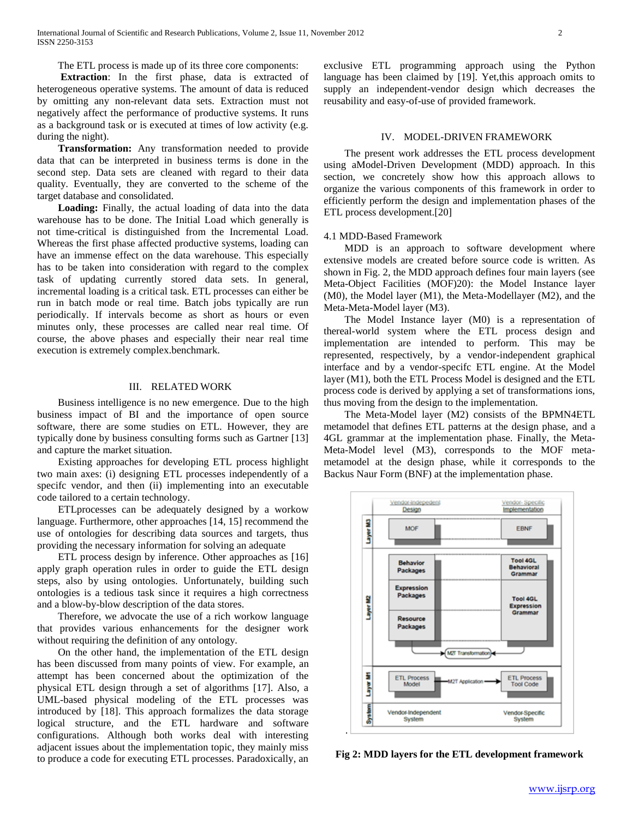The ETL process is made up of its three core components:

 **Extraction**: In the first phase, data is extracted of heterogeneous operative systems. The amount of data is reduced by omitting any non-relevant data sets. Extraction must not negatively affect the performance of productive systems. It runs as a background task or is executed at times of low activity (e.g. during the night).

 **Transformation:** Any transformation needed to provide data that can be interpreted in business terms is done in the second step. Data sets are cleaned with regard to their data quality. Eventually, they are converted to the scheme of the target database and consolidated.

 **Loading:** Finally, the actual loading of data into the data warehouse has to be done. The Initial Load which generally is not time-critical is distinguished from the Incremental Load. Whereas the first phase affected productive systems, loading can have an immense effect on the data warehouse. This especially has to be taken into consideration with regard to the complex task of updating currently stored data sets. In general, incremental loading is a critical task. ETL processes can either be run in batch mode or real time. Batch jobs typically are run periodically. If intervals become as short as hours or even minutes only, these processes are called near real time. Of course, the above phases and especially their near real time execution is extremely complex.benchmark.

# III. RELATED WORK

 Business intelligence is no new emergence. Due to the high business impact of BI and the importance of open source software, there are some studies on ETL. However, they are typically done by business consulting forms such as Gartner [13] and capture the market situation.

 Existing approaches for developing ETL process highlight two main axes: (i) designing ETL processes independently of a specifc vendor, and then (ii) implementing into an executable code tailored to a certain technology.

 ETLprocesses can be adequately designed by a workow language. Furthermore, other approaches [14, 15] recommend the use of ontologies for describing data sources and targets, thus providing the necessary information for solving an adequate

 ETL process design by inference. Other approaches as [16] apply graph operation rules in order to guide the ETL design steps, also by using ontologies. Unfortunately, building such ontologies is a tedious task since it requires a high correctness and a blow-by-blow description of the data stores.

 Therefore, we advocate the use of a rich workow language that provides various enhancements for the designer work without requiring the definition of any ontology.

 On the other hand, the implementation of the ETL design has been discussed from many points of view. For example, an attempt has been concerned about the optimization of the physical ETL design through a set of algorithms [17]. Also, a UML-based physical modeling of the ETL processes was introduced by [18]. This approach formalizes the data storage logical structure, and the ETL hardware and software configurations. Although both works deal with interesting adjacent issues about the implementation topic, they mainly miss to produce a code for executing ETL processes. Paradoxically, an exclusive ETL programming approach using the Python language has been claimed by [19]. Yet,this approach omits to supply an independent-vendor design which decreases the reusability and easy-of-use of provided framework.

### IV. MODEL-DRIVEN FRAMEWORK

 The present work addresses the ETL process development using aModel-Driven Development (MDD) approach. In this section, we concretely show how this approach allows to organize the various components of this framework in order to efficiently perform the design and implementation phases of the ETL process development.[20]

#### 4.1 MDD-Based Framework

 MDD is an approach to software development where extensive models are created before source code is written. As shown in Fig. 2, the MDD approach defines four main layers (see Meta-Object Facilities (MOF)20): the Model Instance layer (M0), the Model layer (M1), the Meta-Modellayer (M2), and the Meta-Meta-Model layer (M3).

 The Model Instance layer (M0) is a representation of thereal-world system where the ETL process design and implementation are intended to perform. This may be represented, respectively, by a vendor-independent graphical interface and by a vendor-specifc ETL engine. At the Model layer (M1), both the ETL Process Model is designed and the ETL process code is derived by applying a set of transformations ions, thus moving from the design to the implementation.

 The Meta-Model layer (M2) consists of the BPMN4ETL metamodel that defines ETL patterns at the design phase, and a 4GL grammar at the implementation phase. Finally, the Meta-Meta-Model level (M3), corresponds to the MOF metametamodel at the design phase, while it corresponds to the Backus Naur Form (BNF) at the implementation phase.



**Fig 2: MDD layers for the ETL development framework**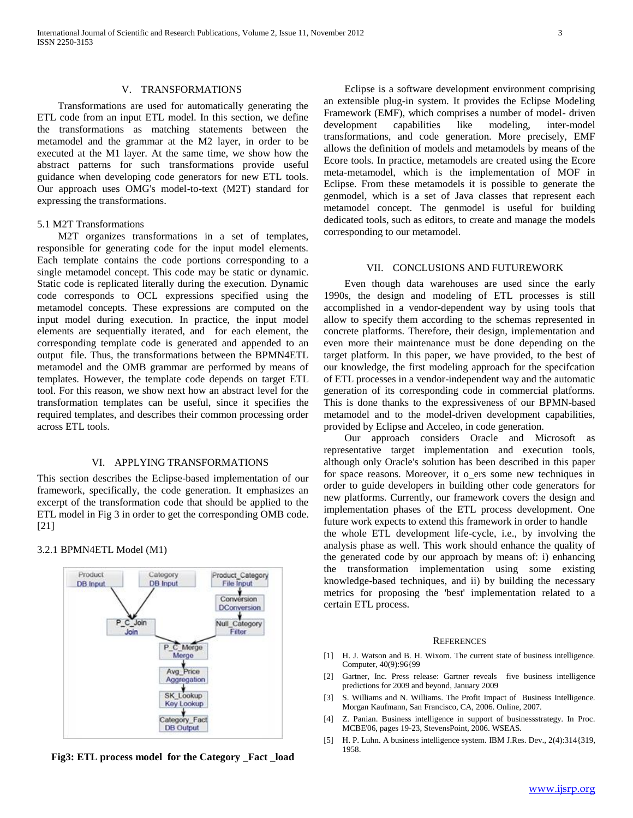# V. TRANSFORMATIONS

 Transformations are used for automatically generating the ETL code from an input ETL model. In this section, we define the transformations as matching statements between the metamodel and the grammar at the M2 layer, in order to be executed at the M1 layer. At the same time, we show how the abstract patterns for such transformations provide useful guidance when developing code generators for new ETL tools. Our approach uses OMG's model-to-text (M2T) standard for expressing the transformations.

# 5.1 M2T Transformations

 M2T organizes transformations in a set of templates, responsible for generating code for the input model elements. Each template contains the code portions corresponding to a single metamodel concept. This code may be static or dynamic. Static code is replicated literally during the execution. Dynamic code corresponds to OCL expressions specified using the metamodel concepts. These expressions are computed on the input model during execution. In practice, the input model elements are sequentially iterated, and for each element, the corresponding template code is generated and appended to an output file. Thus, the transformations between the BPMN4ETL metamodel and the OMB grammar are performed by means of templates. However, the template code depends on target ETL tool. For this reason, we show next how an abstract level for the transformation templates can be useful, since it specifies the required templates, and describes their common processing order across ETL tools.

# VI. APPLYING TRANSFORMATIONS

This section describes the Eclipse-based implementation of our framework, specifically, the code generation. It emphasizes an excerpt of the transformation code that should be applied to the ETL model in Fig 3 in order to get the corresponding OMB code. [21]

# 3.2.1 BPMN4ETL Model (M1)



**Fig3: ETL process model for the Category \_Fact \_load**

 Eclipse is a software development environment comprising an extensible plug-in system. It provides the Eclipse Modeling Framework (EMF), which comprises a number of model- driven development capabilities like modeling, inter-model transformations, and code generation. More precisely, EMF allows the definition of models and metamodels by means of the Ecore tools. In practice, metamodels are created using the Ecore meta-metamodel, which is the implementation of MOF in Eclipse. From these metamodels it is possible to generate the genmodel, which is a set of Java classes that represent each metamodel concept. The genmodel is useful for building dedicated tools, such as editors, to create and manage the models corresponding to our metamodel.

### VII. CONCLUSIONS AND FUTUREWORK

 Even though data warehouses are used since the early 1990s, the design and modeling of ETL processes is still accomplished in a vendor-dependent way by using tools that allow to specify them according to the schemas represented in concrete platforms. Therefore, their design, implementation and even more their maintenance must be done depending on the target platform. In this paper, we have provided, to the best of our knowledge, the first modeling approach for the specifcation of ETL processes in a vendor-independent way and the automatic generation of its corresponding code in commercial platforms. This is done thanks to the expressiveness of our BPMN-based metamodel and to the model-driven development capabilities, provided by Eclipse and Acceleo, in code generation.

 Our approach considers Oracle and Microsoft as representative target implementation and execution tools, although only Oracle's solution has been described in this paper for space reasons. Moreover, it o\_ers some new techniques in order to guide developers in building other code generators for new platforms. Currently, our framework covers the design and implementation phases of the ETL process development. One future work expects to extend this framework in order to handle the whole ETL development life-cycle, i.e., by involving the analysis phase as well. This work should enhance the quality of the generated code by our approach by means of: i) enhancing the transformation implementation using some existing knowledge-based techniques, and ii) by building the necessary metrics for proposing the 'best' implementation related to a certain ETL process.

#### **REFERENCES**

- [1] H. J. Watson and B. H. Wixom. The current state of business intelligence. Computer, 40(9):96{99
- [2] Gartner, Inc. Press release: Gartner reveals five business intelligence predictions for 2009 and beyond, January 2009
- [3] S. Williams and N. Williams. The Profit Impact of Business Intelligence. Morgan Kaufmann, San Francisco, CA, 2006. Online, 2007.
- [4] Z. Panian. Business intelligence in support of business strategy. In Proc. MCBE'06, pages 19-23, StevensPoint, 2006. WSEAS.
- [5] H. P. Luhn. A business intelligence system. IBM J.Res. Dev., 2(4):314{319, 1958.